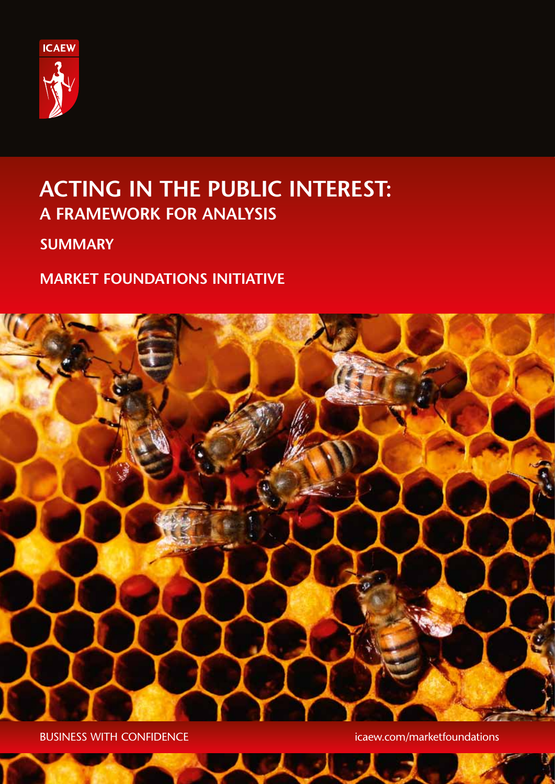

# **ACTING IN THE PUBLIC INTEREST: A FRAMEWORK FOR ANALYSIS**

# **SUMMARY**

# **MARKET FOUNDATIONS INITIATIVE**



BUSINESS WITH CONFIDENCE **intervalse in the contract of the contract of the contract of the contract of the contract of the contract of the contract of the contract of the contract of the contract of the contract of the co**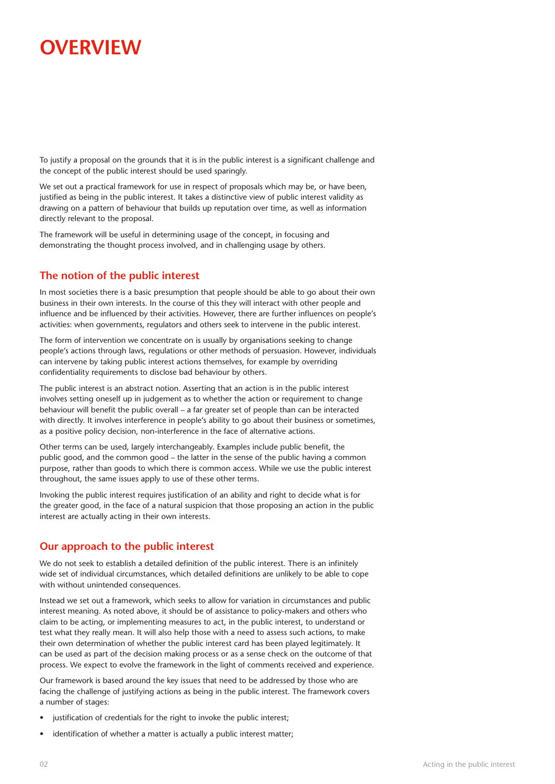# **OVERVIEW**

To justify a proposal on the grounds that it is in the public interest is a significant challenge and the concept of the public interest should be used sparingly.

We set out a practical framework for use in respect of proposals which may be, or have been, justified as being in the public interest. It takes a distinctive view of public interest validity as drawing on a pattern of behaviour that builds up reputation over time, as well as information directly relevant to the proposal.

The framework will be useful in determining usage of the concept, in focusing and demonstrating the thought process involved, and in challenging usage by others.

## **The notion of the public interest**

In most societies there is a basic presumption that people should be able to go about their own business in their own interests. In the course of this they will interact with other people and influence and be influenced by their activities. However, there are further influences on people's activities: when governments, regulators and others seek to intervene in the public interest.

The form of intervention we concentrate on is usually by organisations seeking to change people's actions through laws, regulations or other methods of persuasion. However, individuals can intervene by taking public interest actions themselves, for example by overriding confidentiality requirements to disclose bad behaviour by others.

The public interest is an abstract notion. Asserting that an action is in the public interest involves setting oneself up in judgement as to whether the action or requirement to change behaviour will benefit the public overall – a far greater set of people than can be interacted with directly. It involves interference in people's ability to go about their business or sometimes, as a positive policy decision, non-interference in the face of alternative actions.

Other terms can be used, largely interchangeably. Examples include public benefit, the public good, and the common good – the latter in the sense of the public having a common purpose, rather than goods to which there is common access. While we use the public interest throughout, the same issues apply to use of these other terms.

Invoking the public interest requires justification of an ability and right to decide what is for the greater good, in the face of a natural suspicion that those proposing an action in the public interest are actually acting in their own interests.

## **Our approach to the public interest**

We do not seek to establish a detailed definition of the public interest. There is an infinitely wide set of individual circumstances, which detailed definitions are unlikely to be able to cope with without unintended consequences.

Instead we set out a framework, which seeks to allow for variation in circumstances and public interest meaning. As noted above, it should be of assistance to policy-makers and others who claim to be acting, or implementing measures to act, in the public interest, to understand or test what they really mean. It will also help those with a need to assess such actions, to make their own determination of whether the public interest card has been played legitimately. It can be used as part of the decision making process or as a sense check on the outcome of that process. We expect to evolve the framework in the light of comments received and experience.

Our framework is based around the key issues that need to be addressed by those who are facing the challenge of justifying actions as being in the public interest. The framework covers a number of stages:

- justification of credentials for the right to invoke the public interest;
- identification of whether a matter is actually a public interest matter;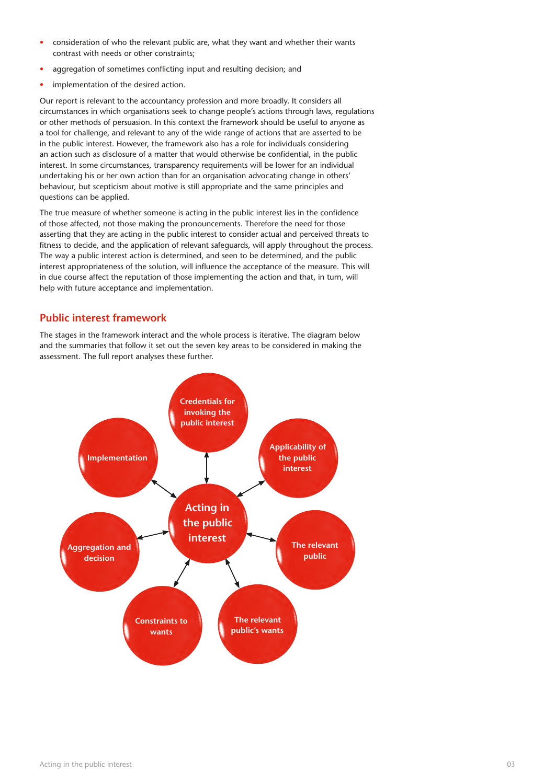- consideration of who the relevant public are, what they want and whether their wants contrast with needs or other constraints;
- aggregation of sometimes conflicting input and resulting decision; and
- implementation of the desired action.

Our report is relevant to the accountancy profession and more broadly. It considers all circumstances in which organisations seek to change people's actions through laws, regulations or other methods of persuasion. In this context the framework should be useful to anyone as a tool for challenge, and relevant to any of the wide range of actions that are asserted to be in the public interest. However, the framework also has a role for individuals considering an action such as disclosure of a matter that would otherwise be confidential, in the public interest. In some circumstances, transparency requirements will be lower for an individual undertaking his or her own action than for an organisation advocating change in others' behaviour, but scepticism about motive is still appropriate and the same principles and questions can be applied.

The true measure of whether someone is acting in the public interest lies in the confidence of those affected, not those making the pronouncements. Therefore the need for those asserting that they are acting in the public interest to consider actual and perceived threats to fitness to decide, and the application of relevant safeguards, will apply throughout the process. The way a public interest action is determined, and seen to be determined, and the public interest appropriateness of the solution, will influence the acceptance of the measure. This will in due course affect the reputation of those implementing the action and that, in turn, will help with future acceptance and implementation.

#### **Public interest framework**

The stages in the framework interact and the whole process is iterative. The diagram below and the summaries that follow it set out the seven key areas to be considered in making the assessment. The full report analyses these further.

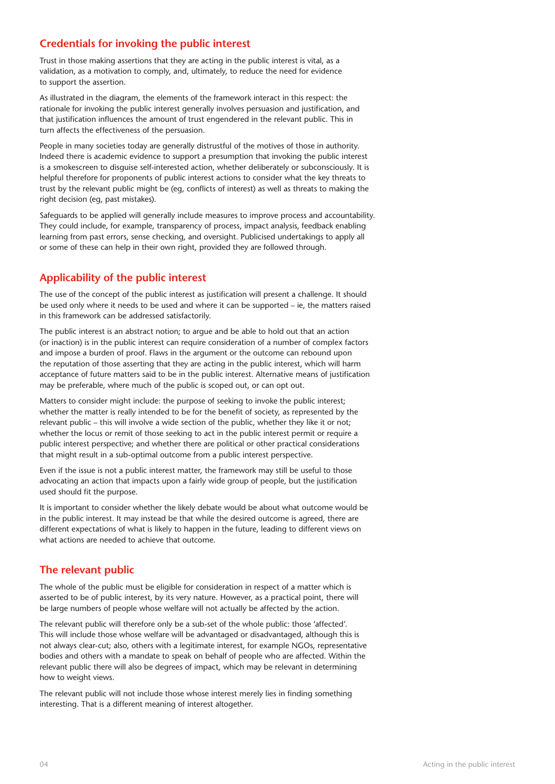## **Credentials for invoking the public interest**

Trust in those making assertions that they are acting in the public interest is vital, as a validation, as a motivation to comply, and, ultimately, to reduce the need for evidence to support the assertion.

As illustrated in the diagram, the elements of the framework interact in this respect: the rationale for invoking the public interest generally involves persuasion and justification, and that justification influences the amount of trust engendered in the relevant public. This in turn affects the effectiveness of the persuasion.

People in many societies today are generally distrustful of the motives of those in authority. Indeed there is academic evidence to support a presumption that invoking the public interest is a smokescreen to disguise self-interested action, whether deliberately or subconsciously. It is helpful therefore for proponents of public interest actions to consider what the key threats to trust by the relevant public might be (eg, conflicts of interest) as well as threats to making the right decision (eg, past mistakes).

Safeguards to be applied will generally include measures to improve process and accountability. They could include, for example, transparency of process, impact analysis, feedback enabling learning from past errors, sense checking, and oversight. Publicised undertakings to apply all or some of these can help in their own right, provided they are followed through.

## **Applicability of the public interest**

The use of the concept of the public interest as justification will present a challenge. It should be used only where it needs to be used and where it can be supported – ie, the matters raised in this framework can be addressed satisfactorily.

The public interest is an abstract notion; to argue and be able to hold out that an action (or inaction) is in the public interest can require consideration of a number of complex factors and impose a burden of proof. Flaws in the argument or the outcome can rebound upon the reputation of those asserting that they are acting in the public interest, which will harm acceptance of future matters said to be in the public interest. Alternative means of justification may be preferable, where much of the public is scoped out, or can opt out.

Matters to consider might include: the purpose of seeking to invoke the public interest; whether the matter is really intended to be for the benefit of society, as represented by the relevant public – this will involve a wide section of the public, whether they like it or not; whether the locus or remit of those seeking to act in the public interest permit or require a public interest perspective; and whether there are political or other practical considerations that might result in a sub-optimal outcome from a public interest perspective.

Even if the issue is not a public interest matter, the framework may still be useful to those advocating an action that impacts upon a fairly wide group of people, but the justification used should fit the purpose.

It is important to consider whether the likely debate would be about what outcome would be in the public interest. It may instead be that while the desired outcome is agreed, there are different expectations of what is likely to happen in the future, leading to different views on what actions are needed to achieve that outcome.

## **The relevant public**

The whole of the public must be eligible for consideration in respect of a matter which is asserted to be of public interest, by its very nature. However, as a practical point, there will be large numbers of people whose welfare will not actually be affected by the action.

The relevant public will therefore only be a sub-set of the whole public: those 'affected'. This will include those whose welfare will be advantaged or disadvantaged, although this is not always clear-cut; also, others with a legitimate interest, for example NGOs, representative bodies and others with a mandate to speak on behalf of people who are affected. Within the relevant public there will also be degrees of impact, which may be relevant in determining how to weight views.

The relevant public will not include those whose interest merely lies in finding something interesting. That is a different meaning of interest altogether.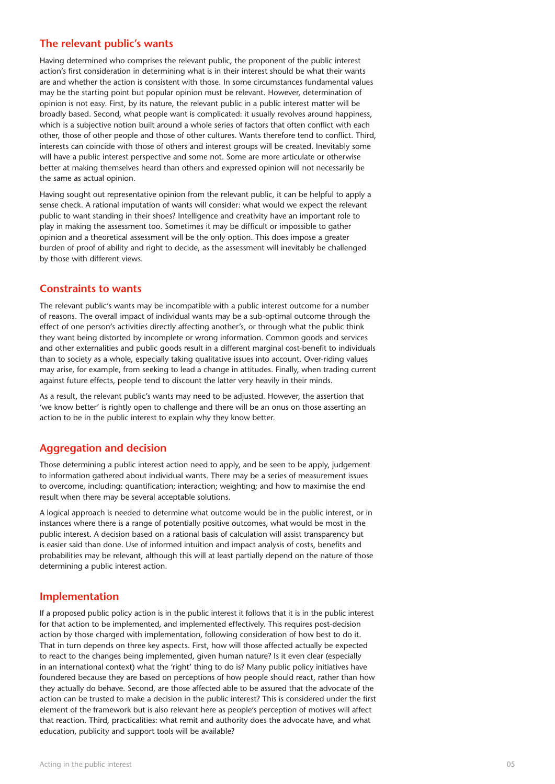#### **The relevant public's wants**

Having determined who comprises the relevant public, the proponent of the public interest action's first consideration in determining what is in their interest should be what their wants are and whether the action is consistent with those. In some circumstances fundamental values may be the starting point but popular opinion must be relevant. However, determination of opinion is not easy. First, by its nature, the relevant public in a public interest matter will be broadly based. Second, what people want is complicated: it usually revolves around happiness, which is a subjective notion built around a whole series of factors that often conflict with each other, those of other people and those of other cultures. Wants therefore tend to conflict. Third, interests can coincide with those of others and interest groups will be created. Inevitably some will have a public interest perspective and some not. Some are more articulate or otherwise better at making themselves heard than others and expressed opinion will not necessarily be the same as actual opinion.

Having sought out representative opinion from the relevant public, it can be helpful to apply a sense check. A rational imputation of wants will consider: what would we expect the relevant public to want standing in their shoes? Intelligence and creativity have an important role to play in making the assessment too. Sometimes it may be difficult or impossible to gather opinion and a theoretical assessment will be the only option. This does impose a greater burden of proof of ability and right to decide, as the assessment will inevitably be challenged by those with different views.

#### **Constraints to wants**

The relevant public's wants may be incompatible with a public interest outcome for a number of reasons. The overall impact of individual wants may be a sub-optimal outcome through the effect of one person's activities directly affecting another's, or through what the public think they want being distorted by incomplete or wrong information. Common goods and services and other externalities and public goods result in a different marginal cost-benefit to individuals than to society as a whole, especially taking qualitative issues into account. Over-riding values may arise, for example, from seeking to lead a change in attitudes. Finally, when trading current against future effects, people tend to discount the latter very heavily in their minds.

As a result, the relevant public's wants may need to be adjusted. However, the assertion that 'we know better' is rightly open to challenge and there will be an onus on those asserting an action to be in the public interest to explain why they know better.

#### **Aggregation and decision**

Those determining a public interest action need to apply, and be seen to be apply, judgement to information gathered about individual wants. There may be a series of measurement issues to overcome, including: quantification; interaction; weighting; and how to maximise the end result when there may be several acceptable solutions.

A logical approach is needed to determine what outcome would be in the public interest, or in instances where there is a range of potentially positive outcomes, what would be most in the public interest. A decision based on a rational basis of calculation will assist transparency but is easier said than done. Use of informed intuition and impact analysis of costs, benefits and probabilities may be relevant, although this will at least partially depend on the nature of those determining a public interest action.

#### **Implementation**

If a proposed public policy action is in the public interest it follows that it is in the public interest for that action to be implemented, and implemented effectively. This requires post-decision action by those charged with implementation, following consideration of how best to do it. That in turn depends on three key aspects. First, how will those affected actually be expected to react to the changes being implemented, given human nature? Is it even clear (especially in an international context) what the 'right' thing to do is? Many public policy initiatives have foundered because they are based on perceptions of how people should react, rather than how they actually do behave. Second, are those affected able to be assured that the advocate of the action can be trusted to make a decision in the public interest? This is considered under the first element of the framework but is also relevant here as people's perception of motives will affect that reaction. Third, practicalities: what remit and authority does the advocate have, and what education, publicity and support tools will be available?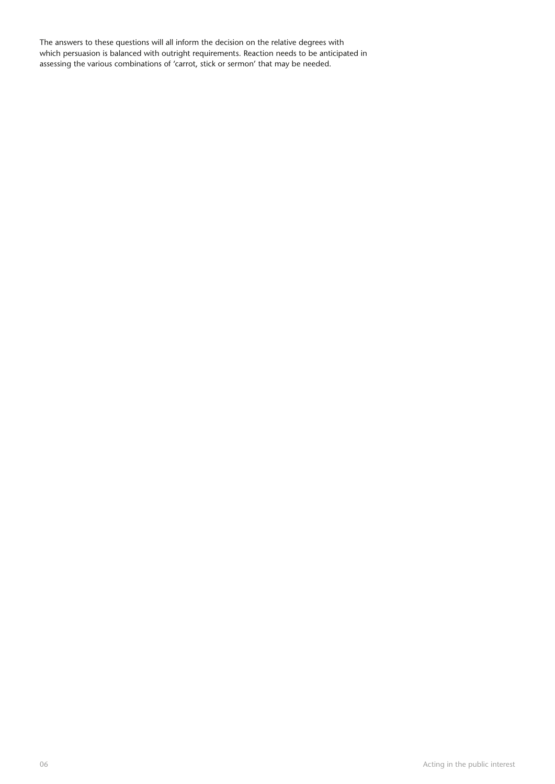The answers to these questions will all inform the decision on the relative degrees with which persuasion is balanced with outright requirements. Reaction needs to be anticipated in assessing the various combinations of 'carrot, stick or sermon' that may be needed.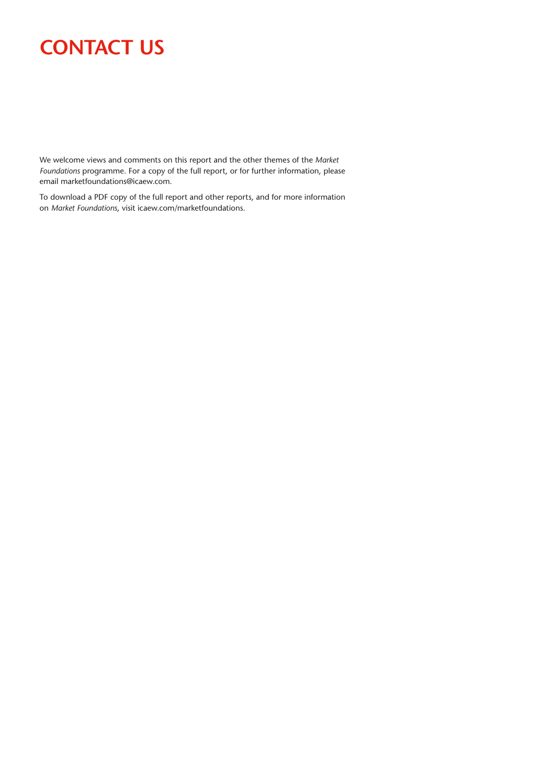# **Contact us**

We welcome views and comments on this report and the other themes of the *Market Foundations* programme. For a copy of the full report, or for further information, please email marketfoundations@icaew.com.

To download a PDF copy of the full report and other reports, and for more information on *Market Foundations*, visit icaew.com/marketfoundations.